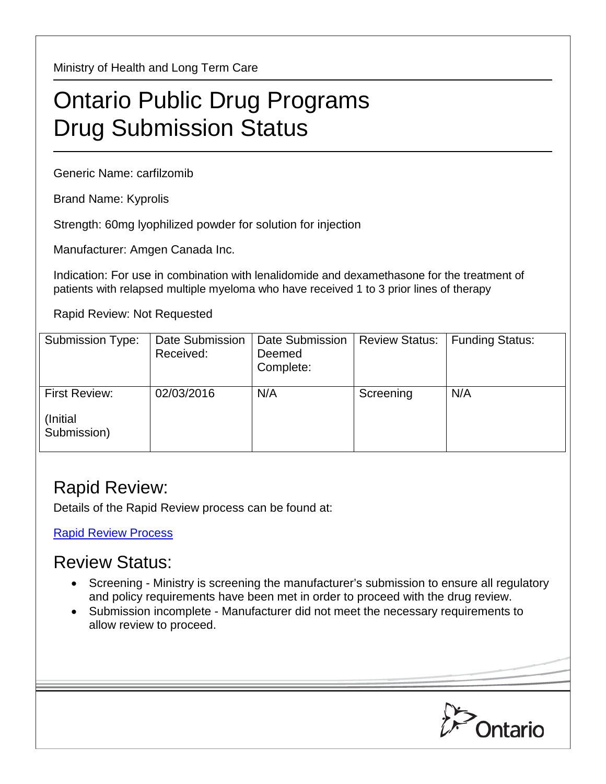Ministry of Health and Long Term Care

## Ontario Public Drug Programs Drug Submission Status

Generic Name: carfilzomib

Brand Name: Kyprolis

Strength: 60mg lyophilized powder for solution for injection

Manufacturer: Amgen Canada Inc.

Indication: For use in combination with lenalidomide and dexamethasone for the treatment of patients with relapsed multiple myeloma who have received 1 to 3 prior lines of therapy

Rapid Review: Not Requested

| Submission Type:                                | Date Submission<br>Received: | Date Submission<br>Deemed<br>Complete: | <b>Review Status:</b> | <b>Funding Status:</b> |
|-------------------------------------------------|------------------------------|----------------------------------------|-----------------------|------------------------|
| <b>First Review:</b><br>(Initial<br>Submission) | 02/03/2016                   | N/A                                    | Screening             | N/A                    |

## Rapid Review:

Details of the Rapid Review process can be found at:

[Rapid Review Process](http://www.health.gov.on.ca/en/pro/programs/drugs/drug_submissions/rapid_review_process.aspx)

## Review Status:

- Screening Ministry is screening the manufacturer's submission to ensure all regulatory and policy requirements have been met in order to proceed with the drug review.
- Submission incomplete Manufacturer did not meet the necessary requirements to allow review to proceed.